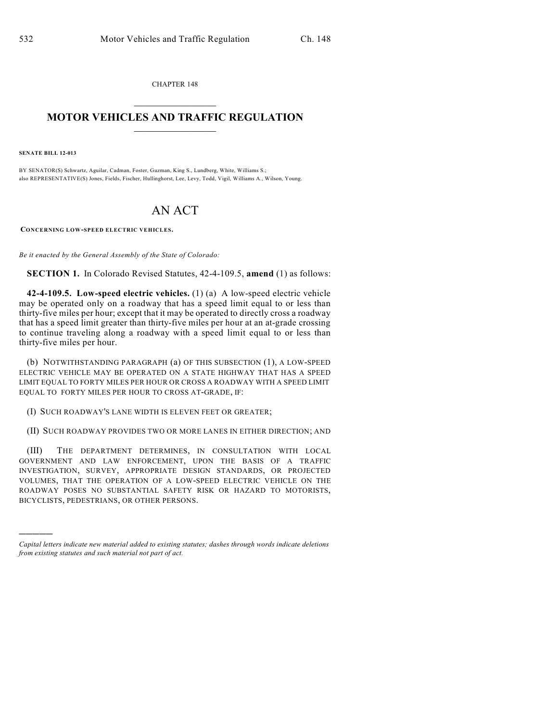CHAPTER 148  $\mathcal{L}_\text{max}$  . The set of the set of the set of the set of the set of the set of the set of the set of the set of the set of the set of the set of the set of the set of the set of the set of the set of the set of the set

## **MOTOR VEHICLES AND TRAFFIC REGULATION**  $\frac{1}{2}$  ,  $\frac{1}{2}$  ,  $\frac{1}{2}$  ,  $\frac{1}{2}$  ,  $\frac{1}{2}$  ,  $\frac{1}{2}$  ,  $\frac{1}{2}$

**SENATE BILL 12-013**

)))))

BY SENATOR(S) Schwartz, Aguilar, Cadman, Foster, Guzman, King S., Lundberg, White, Williams S.; also REPRESENTATIVE(S) Jones, Fields, Fischer, Hullinghorst, Lee, Levy, Todd, Vigil, Williams A., Wilson, Young.

## AN ACT

**CONCERNING LOW-SPEED ELECTRIC VEHICLES.**

*Be it enacted by the General Assembly of the State of Colorado:*

**SECTION 1.** In Colorado Revised Statutes, 42-4-109.5, **amend** (1) as follows:

**42-4-109.5. Low-speed electric vehicles.** (1) (a) A low-speed electric vehicle may be operated only on a roadway that has a speed limit equal to or less than thirty-five miles per hour; except that it may be operated to directly cross a roadway that has a speed limit greater than thirty-five miles per hour at an at-grade crossing to continue traveling along a roadway with a speed limit equal to or less than thirty-five miles per hour.

(b) NOTWITHSTANDING PARAGRAPH (a) OF THIS SUBSECTION (1), A LOW-SPEED ELECTRIC VEHICLE MAY BE OPERATED ON A STATE HIGHWAY THAT HAS A SPEED LIMIT EQUAL TO FORTY MILES PER HOUR OR CROSS A ROADWAY WITH A SPEED LIMIT EQUAL TO FORTY MILES PER HOUR TO CROSS AT-GRADE, IF:

(I) SUCH ROADWAY'S LANE WIDTH IS ELEVEN FEET OR GREATER;

(II) SUCH ROADWAY PROVIDES TWO OR MORE LANES IN EITHER DIRECTION; AND

(III) THE DEPARTMENT DETERMINES, IN CONSULTATION WITH LOCAL GOVERNMENT AND LAW ENFORCEMENT, UPON THE BASIS OF A TRAFFIC INVESTIGATION, SURVEY, APPROPRIATE DESIGN STANDARDS, OR PROJECTED VOLUMES, THAT THE OPERATION OF A LOW-SPEED ELECTRIC VEHICLE ON THE ROADWAY POSES NO SUBSTANTIAL SAFETY RISK OR HAZARD TO MOTORISTS, BICYCLISTS, PEDESTRIANS, OR OTHER PERSONS.

*Capital letters indicate new material added to existing statutes; dashes through words indicate deletions from existing statutes and such material not part of act.*